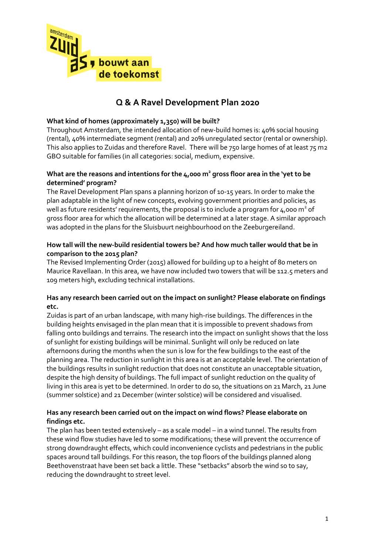

# **Q & A Ravel Development Plan 2020**

# **What kind of homes (approximately 1,350) will be built?**

Throughout Amsterdam, the intended allocation of new-build homes is: 40% social housing (rental), 40% intermediate segment (rental) and 20% unregulated sector (rental or ownership). This also applies to Zuidas and therefore Ravel. There will be 750 large homes of at least 75 m2 GBO suitable for families (in all categories: social, medium, expensive.

# **What are the reasons and intentions for the 4,000 m<sup>2</sup> gross floor area in the 'yet to be determined' program?**

The Ravel Development Plan spans a planning horizon of 10-15 years. In order to make the plan adaptable in the light of new concepts, evolving government priorities and policies, as well as future residents' requirements, the proposal is to include a program for  $4,0$ 00 m $^2$  of gross floor area for which the allocation will be determined at a later stage. A similar approach was adopted in the plans for the Sluisbuurt neighbourhood on the Zeeburgereiland.

# **How tall will the new-build residential towers be? And how much taller would that be in comparison to the 2015 plan?**

The Revised Implementing Order (2015) allowed for building up to a height of 80 meters on Maurice Ravellaan. In this area, we have now included two towers that will be 112.5 meters and 109 meters high, excluding technical installations.

### **Has any research been carried out on the impact on sunlight? Please elaborate on findings etc.**

Zuidas is part of an urban landscape, with many high-rise buildings. The differences in the building heights envisaged in the plan mean that it is impossible to prevent shadows from falling onto buildings and terrains. The research into the impact on sunlight shows that the loss of sunlight for existing buildings will be minimal. Sunlight will only be reduced on late afternoons during the months when the sun is low for the few buildings to the east of the planning area. The reduction in sunlight in this area is at an acceptable level. The orientation of the buildings results in sunlight reduction that does not constitute an unacceptable situation, despite the high density of buildings. The full impact of sunlight reduction on the quality of living in this area is yet to be determined. In order to do so, the situations on 21 March, 21 June (summer solstice) and 21 December (winter solstice) will be considered and visualised.

# **Has any research been carried out on the impact on wind flows? Please elaborate on findings etc.**

The plan has been tested extensively – as a scale model – in a wind tunnel. The results from these wind flow studies have led to some modifications; these will prevent the occurrence of strong downdraught effects, which could inconvenience cyclists and pedestrians in the public spaces around tall buildings. For this reason, the top floors of the buildings planned along Beethovenstraat have been set back a little. These "setbacks" absorb the wind so to say, reducing the downdraught to street level.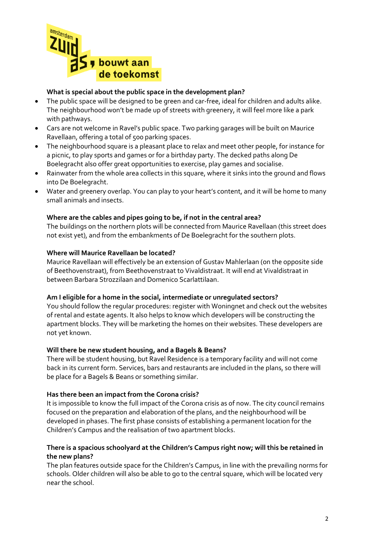

# **What is special about the public space in the development plan?**

- The public space will be designed to be green and car-free, ideal for children and adults alike. The neighbourhood won't be made up of streets with greenery, it will feel more like a park with pathways.
- Cars are not welcome in Ravel's public space. Two parking garages will be built on Maurice Ravellaan, offering a total of 500 parking spaces.
- The neighbourhood square is a pleasant place to relax and meet other people, for instance for a picnic, to play sports and games or for a birthday party. The decked paths along De Boelegracht also offer great opportunities to exercise, play games and socialise.
- Rainwater from the whole area collects in this square, where it sinks into the ground and flows into De Boelegracht.
- Water and greenery overlap. You can play to your heart's content, and it will be home to many small animals and insects.

# **Where are the cables and pipes going to be, if not in the central area?**

The buildings on the northern plots will be connected from Maurice Ravellaan (this street does not exist yet), and from the embankments of De Boelegracht for the southern plots.

### **Where will Maurice Ravellaan be located?**

Maurice Ravellaan will effectively be an extension of Gustav Mahlerlaan (on the opposite side of Beethovenstraat), from Beethovenstraat to Vivaldistraat. It will end at Vivaldistraat in between Barbara Strozzilaan and Domenico Scarlattilaan.

### **Am I eligible for a home in the social, intermediate or unregulated sectors?**

You should follow the regular procedures: register with Woningnet and check out the websites of rental and estate agents. It also helps to know which developers will be constructing the apartment blocks. They will be marketing the homes on their websites. These developers are not yet known.

### **Will there be new student housing, and a Bagels & Beans?**

There will be student housing, but Ravel Residence is a temporary facility and will not come back in its current form. Services, bars and restaurants are included in the plans, so there will be place for a Bagels & Beans or something similar.

### **Has there been an impact from the Corona crisis?**

It is impossible to know the full impact of the Corona crisis as of now. The city council remains focused on the preparation and elaboration of the plans, and the neighbourhood will be developed in phases. The first phase consists of establishing a permanent location for the Children's Campus and the realisation of two apartment blocks.

### **There is a spacious schoolyard at the Children's Campus right now; will this be retained in the new plans?**

The plan features outside space for the Children's Campus, in line with the prevailing norms for schools. Older children will also be able to go to the central square, which will be located very near the school.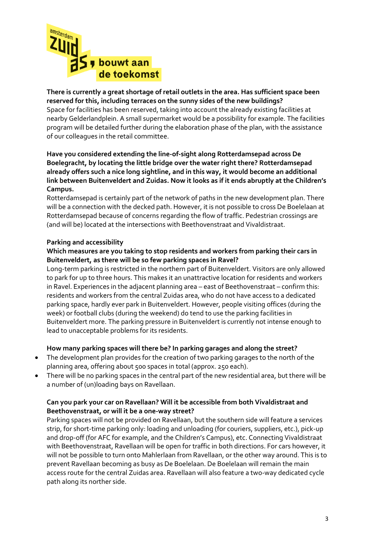

# **There is currently a great shortage of retail outlets in the area. Has sufficient space been reserved for this, including terraces on the sunny sides of the new buildings?** Space for facilities has been reserved, taking into account the already existing facilities at

nearby Gelderlandplein. A small supermarket would be a possibility for example. The facilities program will be detailed further during the elaboration phase of the plan, with the assistance of our colleagues in the retail committee.

# **Have you considered extending the line-of-sight along Rotterdamsepad across De Boelegracht, by locating the little bridge over the water right there? Rotterdamsepad already offers such a nice long sightline, and in this way, it would become an additional link between Buitenveldert and Zuidas. Now it looks as if it ends abruptly at the Children's Campus.**

Rotterdamsepad is certainly part of the network of paths in the new development plan. There will be a connection with the decked path. However, it is not possible to cross De Boelelaan at Rotterdamsepad because of concerns regarding the flow of traffic. Pedestrian crossings are (and will be) located at the intersections with Beethovenstraat and Vivaldistraat.

# **Parking and accessibility**

# **Which measures are you taking to stop residents and workers from parking their cars in Buitenveldert, as there will be so few parking spaces in Ravel?**

Long-term parking is restricted in the northern part of Buitenveldert. Visitors are only allowed to park for up to three hours. This makes it an unattractive location for residents and workers in Ravel. Experiences in the adjacent planning area – east of Beethovenstraat – confirm this: residents and workers from the central Zuidas area, who do not have access to a dedicated parking space, hardly ever park in Buitenveldert. However, people visiting offices (during the week) or football clubs (during the weekend) do tend to use the parking facilities in Buitenveldert more. The parking pressure in Buitenveldert is currently not intense enough to lead to unacceptable problems for its residents.

# **How many parking spaces will there be? In parking garages and along the street?**

- The development plan provides for the creation of two parking garages to the north of the planning area, offering about 500 spaces in total (approx. 250 each).
- There will be no parking spaces in the central part of the new residential area, but there will be a number of (un)loading bays on Ravellaan.

# **Can you park your car on Ravellaan? Will it be accessible from both Vivaldistraat and Beethovenstraat, or will it be a one-way street?**

Parking spaces will not be provided on Ravellaan, but the southern side will feature a services strip, for short-time parking only: loading and unloading (for couriers, suppliers, etc.), pick-up and drop-off (for AFC for example, and the Children's Campus), etc. Connecting Vivaldistraat with Beethovenstraat, Ravellaan will be open for traffic in both directions. For cars however, it will not be possible to turn onto Mahlerlaan from Ravellaan, or the other way around. This is to prevent Ravellaan becoming as busy as De Boelelaan. De Boelelaan will remain the main access route for the central Zuidas area. Ravellaan will also feature a two-way dedicated cycle path along its norther side.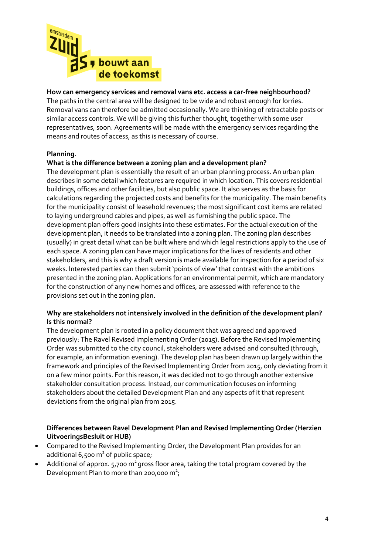

# **How can emergency services and removal vans etc. access a car-free neighbourhood?**

The paths in the central area will be designed to be wide and robust enough for lorries. Removal vans can therefore be admitted occasionally. We are thinking of retractable posts or similar access controls. We will be giving this further thought, together with some user representatives, soon. Agreements will be made with the emergency services regarding the means and routes of access, as this is necessary of course.

### **Planning.**

#### **What is the difference between a zoning plan and a development plan?**

The development plan is essentially the result of an urban planning process. An urban plan describes in some detail which features are required in which location. This covers residential buildings, offices and other facilities, but also public space. It also serves as the basis for calculations regarding the projected costs and benefits for the municipality. The main benefits for the municipality consist of leasehold revenues; the most significant cost items are related to laying underground cables and pipes, as well as furnishing the public space. The development plan offers good insights into these estimates. For the actual execution of the development plan, it needs to be translated into a zoning plan. The zoning plan describes (usually) in great detail what can be built where and which legal restrictions apply to the use of each space. A zoning plan can have major implications for the lives of residents and other stakeholders, and this is why a draft version is made available for inspection for a period of six weeks. Interested parties can then submit 'points of view' that contrast with the ambitions presented in the zoning plan. Applications for an environmental permit, which are mandatory for the construction of any new homes and offices, are assessed with reference to the provisions set out in the zoning plan.

### **Why are stakeholders not intensively involved in the definition of the development plan? Is this normal?**

The development plan is rooted in a policy document that was agreed and approved previously: The Ravel Revised Implementing Order (2015). Before the Revised Implementing Order was submitted to the city council, stakeholders were advised and consulted (through, for example, an information evening). The develop plan has been drawn up largely within the framework and principles of the Revised Implementing Order from 2015, only deviating from it on a few minor points. For this reason, it was decided not to go through another extensive stakeholder consultation process. Instead, our communication focuses on informing stakeholders about the detailed Development Plan and any aspects of it that represent deviations from the original plan from 2015.

### **Differences between Ravel Development Plan and Revised Implementing Order (Herzien UitvoeringsBesluit or HUB)**

- Compared to the Revised Implementing Order, the Development Plan provides for an additional 6,500 m<sup>2</sup> of public space;
- Additional of approx.  $5,700$  m<sup>2</sup> gross floor area, taking the total program covered by the Development Plan to more than 200,000  $m^2$ ;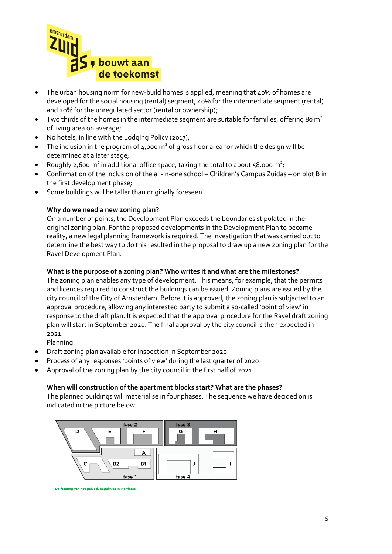

- The urban housing norm for new-build homes is applied, meaning that 40% of homes are developed for the social housing (rental) segment, 40% for the intermediate segment (rental) and 20% for the unregulated sector (rental or ownership);
- $\bullet$  Two thirds of the homes in the intermediate segment are suitable for families, offering 80 m<sup>2</sup> of living area on average;
- No hotels, in line with the Lodging Policy (2017);
- The inclusion in the program of  $4,000 \text{ m}^2$  of gross floor area for which the design will be determined at a later stage;
- Roughly 2,600 m<sup>2</sup> in additional office space, taking the total to about 58,000 m<sup>2</sup>;
- Confirmation of the inclusion of the all-in-one school Children's Campus Zuidas on plot B in the first development phase;
- Some buildings will be taller than originally foreseen.

### **Why do we need a new zoning plan?**

On a number of points, the Development Plan exceeds the boundaries stipulated in the original zoning plan. For the proposed developments in the Development Plan to become reality, a new legal planning framework is required. The investigation that was carried out to determine the best way to do this resulted in the proposal to draw up a new zoning plan for the Ravel Development Plan.

# **What is the purpose of a zoning plan? Who writes it and what are the milestones?**

The zoning plan enables any type of development. This means, for example, that the permits and licences required to construct the buildings can be issued. Zoning plans are issued by the city council of the City of Amsterdam. Before it is approved, the zoning plan is subjected to an approval procedure, allowing any interested party to submit a so-called 'point of view' in response to the draft plan. It is expected that the approval procedure for the Ravel draft zoning plan will start in September 2020. The final approval by the city council is then expected in 2021.

Planning:

- Draft zoning plan available for inspection in September 2020
- Process of any responses 'points of view' during the last quarter of 2020
- Approval of the zoning plan by the city council in the first half of 2021

### **When will construction of the apartment blocks start? What are the phases?**

The planned buildings will materialise in four phases. The sequence we have decided on is indicated in the picture below:



De fasering van het gebied, opgeknipt in vier fases